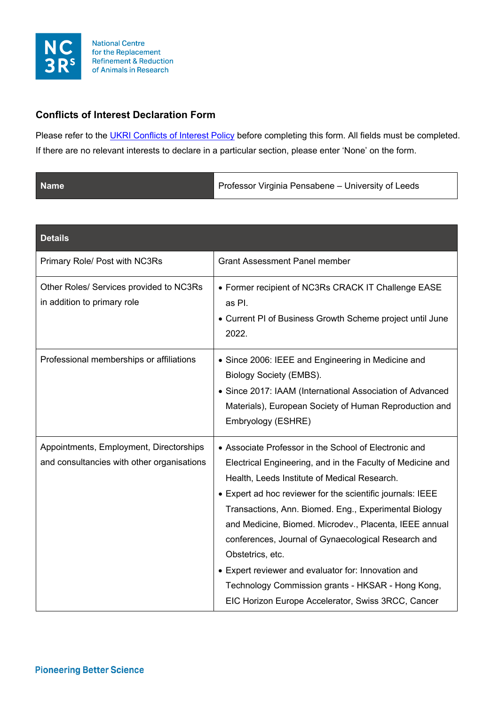

## **Conflicts of Interest Declaration Form**

Please refer to the [UKRI Conflicts of Interest Policy](https://www.ukri.org/wp-content/uploads/2020/11/UKRI-171120-ConflictsOfInterestPolicy-Dec19.pdf.pdf) before completing this form. All fields must be completed. If there are no relevant interests to declare in a particular section, please enter 'None' on the form.

| <b>Name</b> | Professor Virginia Pensabene - University of Leeds |
|-------------|----------------------------------------------------|
|             |                                                    |

| <b>Details</b>                                                                        |                                                                                                                                                                                                                                                                                                                                                                                                                                                                                                                                                                                                   |
|---------------------------------------------------------------------------------------|---------------------------------------------------------------------------------------------------------------------------------------------------------------------------------------------------------------------------------------------------------------------------------------------------------------------------------------------------------------------------------------------------------------------------------------------------------------------------------------------------------------------------------------------------------------------------------------------------|
| Primary Role/ Post with NC3Rs                                                         | <b>Grant Assessment Panel member</b>                                                                                                                                                                                                                                                                                                                                                                                                                                                                                                                                                              |
| Other Roles/ Services provided to NC3Rs<br>in addition to primary role                | • Former recipient of NC3Rs CRACK IT Challenge EASE<br>as Pl.<br>• Current PI of Business Growth Scheme project until June<br>2022.                                                                                                                                                                                                                                                                                                                                                                                                                                                               |
| Professional memberships or affiliations                                              | • Since 2006: IEEE and Engineering in Medicine and<br>Biology Society (EMBS).<br>• Since 2017: IAAM (International Association of Advanced<br>Materials), European Society of Human Reproduction and<br>Embryology (ESHRE)                                                                                                                                                                                                                                                                                                                                                                        |
| Appointments, Employment, Directorships<br>and consultancies with other organisations | • Associate Professor in the School of Electronic and<br>Electrical Engineering, and in the Faculty of Medicine and<br>Health, Leeds Institute of Medical Research.<br>• Expert ad hoc reviewer for the scientific journals: IEEE<br>Transactions, Ann. Biomed. Eng., Experimental Biology<br>and Medicine, Biomed. Microdev., Placenta, IEEE annual<br>conferences, Journal of Gynaecological Research and<br>Obstetrics, etc.<br>• Expert reviewer and evaluator for: Innovation and<br>Technology Commission grants - HKSAR - Hong Kong,<br>EIC Horizon Europe Accelerator, Swiss 3RCC, Cancer |